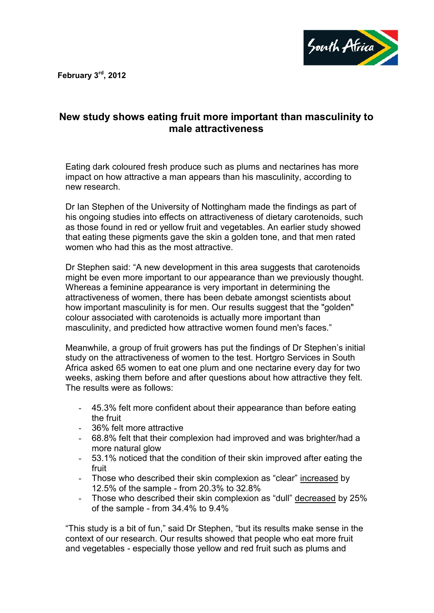**February 3rd, 2012**



## **New study shows eating fruit more important than masculinity to male attractiveness**

Eating dark coloured fresh produce such as plums and nectarines has more impact on how attractive a man appears than his masculinity, according to new research.

Dr Ian Stephen of the University of Nottingham made the findings as part of his ongoing studies into effects on attractiveness of dietary carotenoids, such as those found in red or yellow fruit and vegetables. An earlier study showed that eating these pigments gave the skin a golden tone, and that men rated women who had this as the most attractive.

Dr Stephen said: "A new development in this area suggests that carotenoids might be even more important to our appearance than we previously thought. Whereas a feminine appearance is very important in determining the attractiveness of women, there has been debate amongst scientists about how important masculinity is for men. Our results suggest that the "golden" colour associated with carotenoids is actually more important than masculinity, and predicted how attractive women found men's faces."

Meanwhile, a group of fruit growers has put the findings of Dr Stephen's initial study on the attractiveness of women to the test. Hortgro Services in South Africa asked 65 women to eat one plum and one nectarine every day for two weeks, asking them before and after questions about how attractive they felt. The results were as follows:

- 45.3% felt more confident about their appearance than before eating the fruit
- 36% felt more attractive
- 68.8% felt that their complexion had improved and was brighter/had a more natural glow
- 53.1% noticed that the condition of their skin improved after eating the fruit
- Those who described their skin complexion as "clear" increased by 12.5% of the sample - from 20.3% to 32.8%
- Those who described their skin complexion as "dull" decreased by 25% of the sample - from 34.4% to 9.4%

"This study is a bit of fun," said Dr Stephen, "but its results make sense in the context of our research. Our results showed that people who eat more fruit and vegetables - especially those yellow and red fruit such as plums and